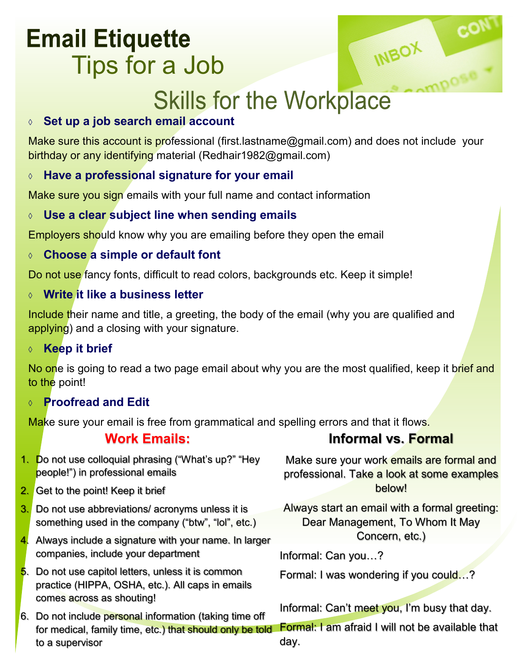## **Email Etiquette** Tips for a Job



# **Skills for the Workplace**

#### **Set up a job search email account**

Make sure this account is professional (first.lastname@gmail.com) and does not include your birthday or any identifying material (Redhair1982@gmail.com)

#### **Have a professional signature for your email**

Make sure you sign emails with your full name and contact information

#### **Use a clear subject line when sending emails**

Employers should know why you are emailing before they open the email

#### **Choose a simple or default font**

Do not use fancy fonts, difficult to read colors, backgrounds etc. Keep it simple!

#### **Write it like a business letter**

Include their name and title, a greeting, the body of the email (why you are qualified and applying) and a closing with your signature.

#### **Keep it brief**

No one is going to read a two page email about why you are the most qualified, keep it brief and to the point!

#### **Proofread and Edit**

Make sure your email is free from grammatical and spelling errors and that it flows.

#### **Work Emails:**

#### **Informal vs. Formal**

- 1. Do not use colloquial phrasing ("What's up?" "Hey people!") in professional emails
- 2. Get to the point! Keep it brief
- 3. Do not use abbreviations/ acronyms unless it is something used in the company ("btw", "lol", etc.)
- 4. Always include a signature with your name. In larger companies, include your department
- 5. Do not use capitol letters, unless it is common practice (HIPPA, OSHA, etc.). All caps in emails comes across as shouting!
- 6. Do not include personal information (taking time off for medical, family time, etc.) that should only be told to a supervisor

Make sure your work emails are formal and professional. Take a look at some examples below!

Always start an email with a formal greeting: Dear Management, To Whom It May Concern, etc.)

Informal: Can you…?

Formal: I was wondering if you could…?

Informal: Can't meet you, I'm busy that day.

Formal: I am afraid I will not be available that day.